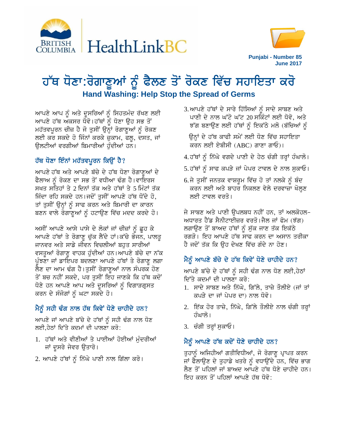



# ਹੱਥ ਧੋਣਾ:ਰੋਗਾਣੂਆਂ ਨੂੰ ਫੈਲਣ ਤੋਂ ਰੋਕਣ ਵਿੱਚ ਸਹਾਇਤਾ ਕਰੋ **Hand Washing: Help Stop the Spread of Germs**

ਆਪਣੇ ਆਪ ਨੂੰ ਅਤੇ ਦੂਸਰਿਆਂ ਨੂੰ ਸਿਹਤਮੰਦ ਰੱਖਣ ਲਈ ਆਪਣੇ ਹੱਥ ਅਕਸਰ ਧੋਵੋ।ਹੱਥਾਂ ਨੂੰ ਧੋਣਾ ਉਹ ਸਭ ਤੋਂ ਮਹੱਤਵਪੂਰਨ ਚੀਜ਼ ਹੈ ਜੋ ਤੁਸੀਂ ਉਨ੍ਹਾਂ ਰੋਗਾਣੂਆਂ ਨੂੰ ਰੋਕਣ ਲਈ ਕਰ ਸਕਦੇ ਹੋ ਜਿੰਨਾਂ ਕਰਕੇ ਜ਼ੁਕਾਮ, ਫਲੂ, ਦਸਤ, ਜਾਂ ਉਲਟੀਆਂ ਵਰਗੀਆਂ ਬਿਮਾਰੀਆਂ ਹੁੰਦੀਆਂ ਹਨ।

## ਹੱਥ ਧੋਣਾ ਇੰਨਾਂ ਮਹੱਤਵਪੂਰਨ ਕਿਉਂ ਹੈ?

ਆਪਣੇ ਹੱਥ ਅਤੇ ਆਪਣੇ ਬੱਚੇ ਦੇ ਹੱਥ ਧੋਣਾ ਰੋਗਾਣੂਆਂ ਦੇ ਫੈਲਾਅ ਨੂੰ ਰੋਕਣ ਦਾ ਸਭ ਤੋਂ ਵਧੀਆ ਢੰਗ ਹੈ।ਵਾਇਰਸ ਸਖਤ ਸਤਿਹਾਂ ਤੇ 2 ਦਿਨਾਂ ਤੱਕ ਅਤੇ ਹੱਥਾਂ ਤੇ 5 ਮਿੰਟਾਂ ਤੱਕ ਜਿੰਦਾ ਰਹਿ ਸਕਦੇ ਹਨ।ਜਦੋਂ ਤੁਸੀਂ ਆਪਣੇ ਹੱਥ ਧੋਂਦੇ ਹੋ, ਤਾਂ ਤੁਸੀਂ ਉਨ੍ਹਾਂ ਨੂੰ ਸਾਫ ਕਰਨ ਅਤੇ ਬਿਮਾਰੀ ਦਾ ਕਾਰਨ ਬਣਨ ਵਾਲੇ ਰੋਗਾਣੂਆਂ ਨੂੰ ਹਟਾਉਣ ਵਿੱਚ ਮਦਦ ਕਰਦੇ ਹੋ।

ਅਸੀਂ ਆਪਣੇ ਆਸੇ ਪਾਸੇ ਦੇ ਲੋਕਾਂ ਜਾਂ ਚੀਜ਼ਾਂ ਨੂੰ ਛੂਹ ਕੇ ਆਪਣੇ ਹੱਥਾਂ ਤੇ ਰੋਗਾਣੂ ਚੁੱਕ ਲੈਂਦੇ ਹਾਂ।ਕੱਚੇ ਭੋਜਨ, ਪਾਲਤੂ ਜਾਨਵਰ ਅਤੇ ਸਾਡੇ ਜੀਵਨ ਵਿਚਲੀਆਂ ਬਹੁਤ ਸਾਰੀਆਂ ਵਸਤੂਆਂ ਰੋਗਾਣੂ ਵਾਹਕ ਹੁੰਦੀਆਂ ਹਨ।ਆਪਣੇ ਬੱਚੇ ਦਾ ਨੱਕ ਪੁੰਝਣਾ ਜਾਂ ਡਾਇਪਰ ਬਦਲਣਾ ਆਪਣੇ ਹੱਥਾਂ ਤੇ ਰੋਗਾਣੂ ਲਗਾ ਲੈਣ ਦਾ ਆਮ ਢੰਗ ਹੈ।ਤੁਸੀਂ ਰੋਗਾਣੁਆਂ ਨਾਲ ਸੰਪਰਕ ਹੋਣ ਤੋਂ ਬਚ ਨਹੀਂ ਸਕਦੇ, ਪਰ ਤੁਸੀਂ ਇਹ ਜਾਣਕੇ ਕਿ ਹੱਥ ਕਦੋਂ ਧੋਣੇ ਹਨ ਆਪਣੇ ਆਪ ਅਤੇ ਦੁਸਰਿਆਂ ਨੂੰ ਵਿਗਾੜਗ੍ਰਸਤ ਕਰਨ ਦੇ ਸੰਜੋਗਾਂ ਨੂੰ ਘਟਾ ਸਕਦੇ ਹੋ।

## ਮੈਨੂੰ ਸਹੀ ਢੰਗ ਨਾਲ ਹੱਥ ਕਿਵੇਂ ਧੋਣੇ ਚਾਹੀਦੇ ਹਨ?

ਆਪਣੇ ਜਾਂ ਆਪਣੇ ਬੱਚੇ ਦੇ ਹੱਥਾਂ ਨੂੰ ਸਹੀ ਢੰਗ ਨਾਲ ਧੋਣ ਲਈ,ਹੇਠਾਂ ਦਿੱਤੇ ਕਦਮਾਂ ਦੀ ਪਾਲਣਾ ਕਰੋ:

- 1. ਹੱਥਾਂ ਅਤੇ ਵੀਣੀਆਂ ਤੇ ਪਾਈਆਂ ਹੋਈਆਂ ਮੁੰਦਰੀਆਂ ਜਾਂ ਦੂਸਰੇ ਜੇਵਰ ਉਤਾਰੋ।
- 2. ਆਪਣੇ ਹੱਥਾਂ ਨੂੰ ਨਿੱਘੇ ਪਾਣੀ ਨਾਲ ਗਿੱਲਾ ਕਰੋ।

3.ਆਪਣੇ ਹੱਥਾਂ ਦੇ ਸਾਰੇ ਹਿੱਸਿਆਂ ਨੂੰ ਸਾਦੇ ਸਾਬਣ ਅਤੇ ਪਾਣੀ ਦੇ ਨਾਲ ਘੱਟੋ ਘੱਟ 20 ਸਕਿੰਟਾਂ ਲਈ ਧੋਵੋ, ਅਤੇ ਝੱਗ ਬਣਾਉਣ ਲਈ ਹੱਥਾਂ ਨੂੰ ਇਕੱਠੇ ਮਲੋ (ਬੱਚਿਆਂ ਨੂੰ

ਉਨਾਂ ਦੇ ਹੱਥ ਕਾਫੀ ਸਮੇਂ ਲਈ ਧੋਣ ਵਿੱਚ ਸਹਾਇਤਾ ਕਰਨ ਲਈ ਏਬੀਸੀ (ABC) ਗਾਣਾ ਗਾਓ)।

- 4.ਹੱਥਾਂ ਨੂੰ ਨਿੱਘੇ ਵਗਦੇ ਪਾਣੀ ਦੇ ਹੇਠ ਚੰਗੀ ਤਰ੍ਹਾਂ ਹੰਘਾਲੋ।
- 5. ਹੱਥਾਂ ਨੂੰ ਸਾਫ ਕਪੜੇ ਜਾਂ ਪੇਪਰ ਟਾਵਲ ਦੇ ਨਾਲ ਸੁਕਾਓ।
- 6.ਜੇ ਤੁਸੀਂ ਜਨਤਕ ਵਾਸ਼ਰੂਮ ਵਿੱਚ ਹੋ ਤਾਂ ਨਲਕੇ ਨੂੰ ਬੰਦ ਕਰਨ ਲਈ ਅਤੇ ਬਾਹਰ ਨਿਕਲਣ ਵੇਲੇ ਦਰਵਾਜ਼ਾ ਖੋਲ੍ਹਣ ਲਈ ਟਾਵਲ ਵਰਤੋ।

ਜੇ ਸਾਬਣ ਅਤੇ ਪਾਣੀ ਉਪਲਬਧ ਨਹੀਂ ਹਨ, ਤਾਂ ਅਲਕੋਹਲ-ਅਧਾਰਤ ਹੈਂਡ ਸੈਨੀਟਾਈਜ਼ਰ ਵਰਤੋ।ਜੈਲ ਜਾਂ ਫੋਮ (ਝੱਗ) ਲਗਾਉਣ ਤੋਂ ਬਾਅਦ ਹੱਥਾਂ ਨੂੰ ਸੁੱਕ ਜਾਣ ਤੱਕ ਇਕੱਠੇ ਰਗੜੋ। ਇਹ ਆਪਣੇ ਹੱਥ ਸਾਫ ਕਰਨ ਦਾ ਅਸਾਨ ਤਰੀਕਾ ਹੈ ਜਦੋਂ ਤੱਕ ਕਿ ਉਹ ਦੇਖਣ ਵਿੱਚ ਗੰਦੇ ਨਾ ਹੋਣ।

## ਮੈਨੂੰ ਆਪਣੇ ਬੱਚੇ ਦੇ ਹੱਥ ਕਿਵੇਂ ਧੋਣੇ ਚਾਹੀਦੇ ਹਨ?

ਆਪਣੇ ਬੱਚੇ ਦੇ ਹੱਥਾਂ ਨੂੰ ਸਹੀ ਢੰਗ ਨਾਲ ਧੋਣ ਲਈ,ਹੇਠਾਂ ਦਿੱਤੇ ਕਦਮਾਂ ਦੀ ਪਾਲਣਾ ਕਰੋ:

- 1. ਸਾਦੇ ਸਾਬਣ ਅਤੇ ਨਿੱਘੇ, ਗਿੱਲੇ, ਤਾਜ਼ੇ ਤੌਲੀਏ (ਜਾਂ ਤਾਂ ਕਪੜੇ ਦਾ ਜਾਂ ਪੇਪਰ ਦਾ) ਨਾਲ ਧੋਵੋ।
- 2. ਇੱਕ ਹੋਰ ਤਾਜ਼ੇ, ਨਿੱਘੇ, ਗਿੱਲੇ ਤੌਲੀਏ ਨਾਲ ਚੰਗੀ ਤਰ੍ਹਾਂ ਹੰਘਾਲੋ।
- 3. ਚੰਗੀ ਤਰ੍ਹਾਂ ਸੁਕਾਓ।

#### ਮੈਨੂੰ ਆਪਣੇ ਹੱਥ ਕਦੋਂ ਧੋਣੇ ਚਾਹੀਦੇ ਹਨ?

ਤੁਹਾਨੂੰ ਅਜਿਹੀਆਂ ਗਤੀਵਿਧੀਆਂ, ਜੋ ਰੋਗਾਣੂ ਪ੍ਰਾਪਤ ਕਰਨ ਜਾਂ ਫੈਲਾਉਣ ਦੇ ਤੁਹਾਡੇ ਖਤਰੇ ਨੂੰ ਵਧਾਉਂਦੇ ਹਨ, ਵਿੱਚ ਭਾਗ ਲੈਣ ਤੋਂ ਪਹਿਲਾਂ ਜਾਂ ਬਾਅਦ ਆਪਣੇ ਹੱਥ ਧੋਣੇ ਚਾਹੀਦੇ ਹਨ। ਇਹ ਕਰਨ ਤੋਂ ਪਹਿਲਾਂ ਆਪਣੇ ਹੱਥ ਧੋਵੋ: